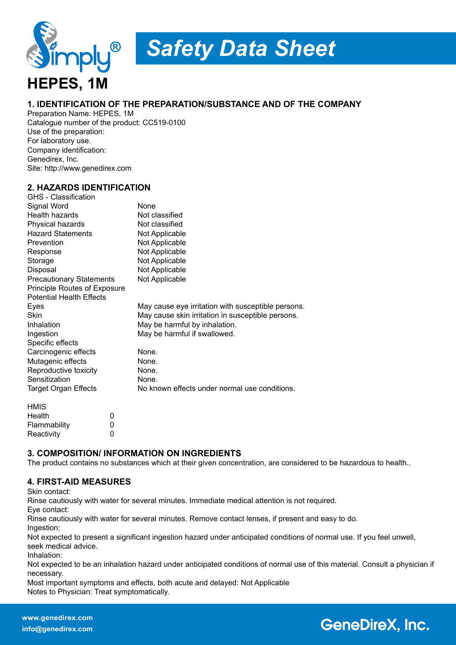

# *Safety Data Sheet*

#### **1. IDENTIFICATION OF THE PREPARATION/SUBSTANCE AND OF THE COMPANY**

Preparation Name: HEPES, 1M Catalogue number of the product: CC519-0100 Use of the preparation: For laboratory use. Company identification: Genedirex, Inc. Site: http://www.genedirex.com

#### **2. HAZARDS IDENTIFICATION**

| GHS - Classification            |   |                                                    |  |
|---------------------------------|---|----------------------------------------------------|--|
| Signal Word                     |   | None                                               |  |
| <b>Health hazards</b>           |   | Not classified                                     |  |
| Physical hazards                |   | Not classified                                     |  |
| <b>Hazard Statements</b>        |   | Not Applicable                                     |  |
| Prevention                      |   | Not Applicable                                     |  |
| Response                        |   | Not Applicable                                     |  |
| Storage                         |   | Not Applicable                                     |  |
| Disposal                        |   | Not Applicable                                     |  |
| <b>Precautionary Statements</b> |   | Not Applicable                                     |  |
| Principle Routes of Exposure    |   |                                                    |  |
| <b>Potential Health Effects</b> |   |                                                    |  |
| Eyes                            |   | May cause eye irritation with susceptible persons. |  |
| Skin                            |   | May cause skin irritation in susceptible persons.  |  |
| Inhalation                      |   | May be harmful by inhalation.                      |  |
| Ingestion                       |   | May be harmful if swallowed.                       |  |
| Specific effects                |   |                                                    |  |
| Carcinogenic effects            |   | None.                                              |  |
| Mutagenic effects               |   | None.                                              |  |
| Reproductive toxicity           |   | None.                                              |  |
| Sensitization                   |   | None.                                              |  |
| <b>Target Organ Effects</b>     |   | No known effects under normal use conditions.      |  |
| <b>HMIS</b>                     |   |                                                    |  |
| Health                          | 0 |                                                    |  |
| Flammability                    | 0 |                                                    |  |
| Reactivity                      | 0 |                                                    |  |

#### **3. COMPOSITION/ INFORMATION ON INGREDIENTS**

The product contains no substances which at their given concentration, are considered to be hazardous to health..

#### **4. FIRST-AID MEASURES**

Skin contact:

Rinse cautiously with water for several minutes. Immediate medical attention is not required.

Eye contact:

Rinse cautiously with water for several minutes. Remove contact lenses, if present and easy to do. Ingestion:

Not expected to present a significant ingestion hazard under anticipated conditions of normal use. If you feel unwell, seek medical advice.

Inhalation:

Not expected to be an inhalation hazard under anticipated conditions of normal use of this material. Consult a physician if necessary.

Most important symptoms and effects, both acute and delayed: Not Applicable Notes to Physician: Treat symptomatically.

# **GeneDireX, Inc.**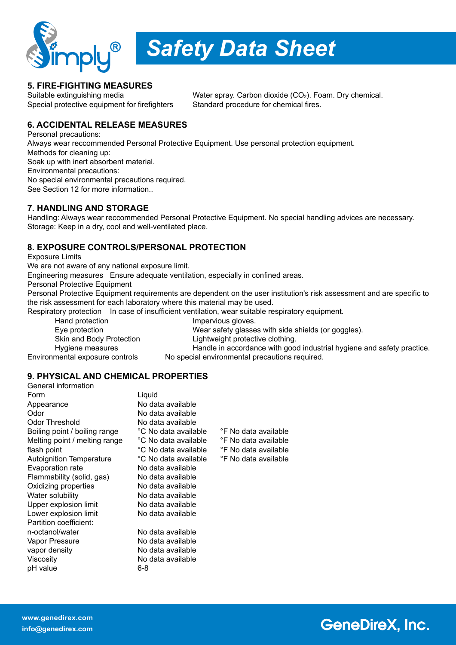

*Safety Data Sheet*

### **5. FIRE-FIGHTING MEASURES**

Suitable extinguishing media Water spray. Carbon dioxide (CO<sub>2</sub>). Foam. Dry chemical. Special protective equipment for firefighters Standard procedure for chemical fires.

### **6. ACCIDENTAL RELEASE MEASURES**

Personal precautions: Always wear reccommended Personal Protective Equipment. Use personal protection equipment. Methods for cleaning up: Soak up with inert absorbent material. Environmental precautions: No special environmental precautions required. See Section 12 for more information..

#### **7. HANDLING AND STORAGE**

Handling: Always wear reccommended Personal Protective Equipment. No special handling advices are necessary. Storage: Keep in a dry, cool and well-ventilated place.

#### **8. EXPOSURE CONTROLS/PERSONAL PROTECTION**

Exposure Limits

We are not aware of any national exposure limit.

Engineering measures Ensure adequate ventilation, especially in confined areas.

Personal Protective Equipment

Personal Protective Equipment requirements are dependent on the user institution's risk assessment and are specific to the risk assessment for each laboratory where this material may be used.

Respiratory protection In case of insufficient ventilation, wear suitable respiratory equipment.

Hand protection **Impervious gloves**. Eye protection Wear safety glasses with side shields (or goggles). Skin and Body Protection **Lightweight protective clothing.** Hygiene measures **Handle in accordance with good industrial hygiene and safety practice.** Environmental exposure controls No special environmental precautions required.

#### **9. PHYSICAL AND CHEMICAL PROPERTIES**

| General information             |                        |                      |
|---------------------------------|------------------------|----------------------|
| Form                            | Liquid                 |                      |
| Appearance                      | No data available      |                      |
| Odor                            | No data available      |                      |
| <b>Odor Threshold</b>           | No data available      |                      |
| Boiling point / boiling range   | °C No data available : | °F No data available |
| Melting point / melting range   | °C No data available   | °F No data available |
| flash point                     | °C No data available   | °F No data available |
| <b>Autoignition Temperature</b> | °C No data available ∶ | °F No data available |
| Evaporation rate                | No data available      |                      |
| Flammability (solid, gas)       | No data available      |                      |
| Oxidizing properties            | No data available      |                      |
| Water solubility                | No data available      |                      |
| Upper explosion limit           | No data available      |                      |
| Lower explosion limit           | No data available      |                      |
| Partition coefficient:          |                        |                      |
| n-octanol/water                 | No data available      |                      |
| Vapor Pressure                  | No data available      |                      |
| vapor density                   | No data available      |                      |
| Viscosity                       | No data available      |                      |
| pH value                        | 6-8                    |                      |
|                                 |                        |                      |

# **GeneDireX, Inc.**